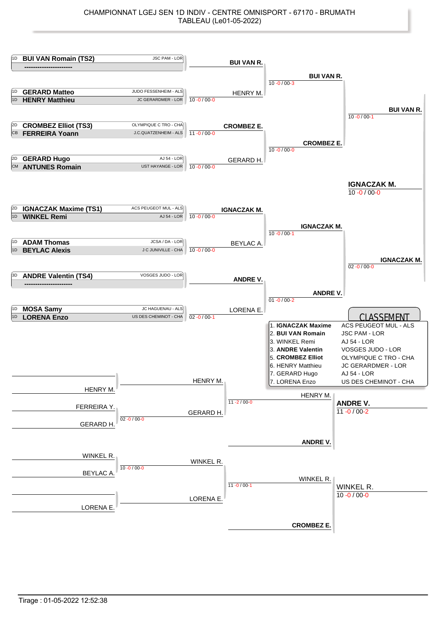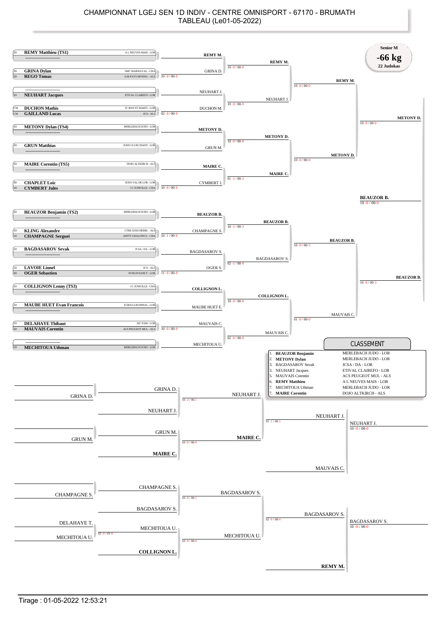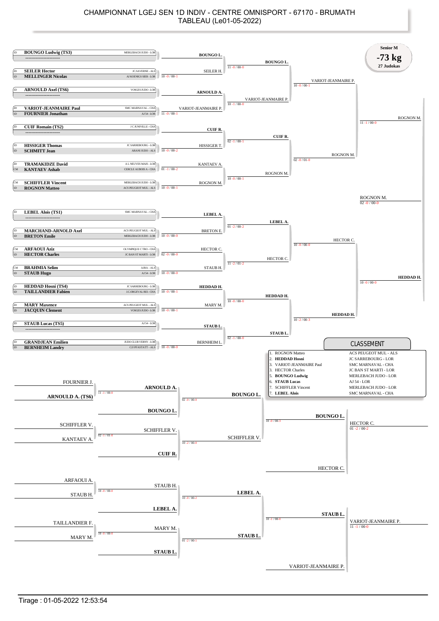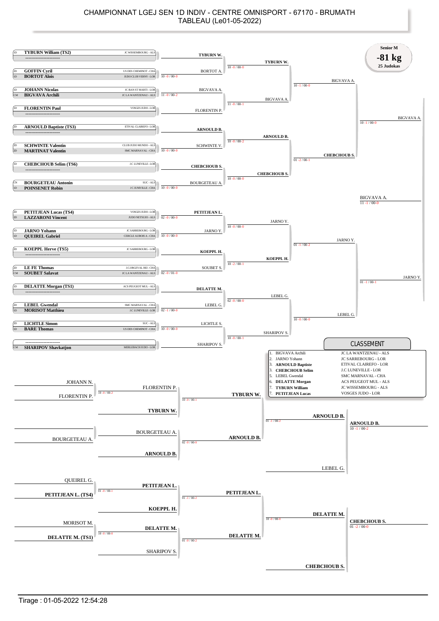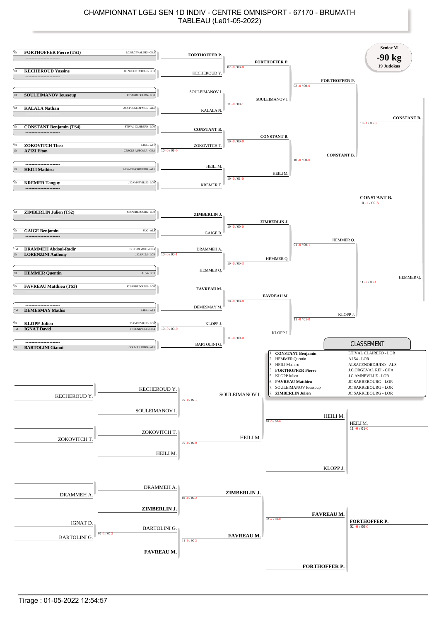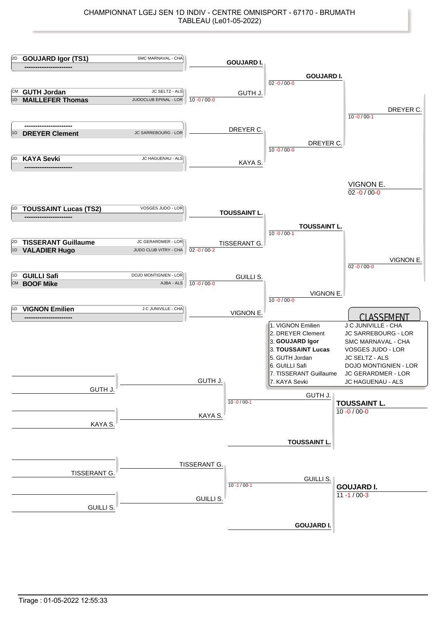